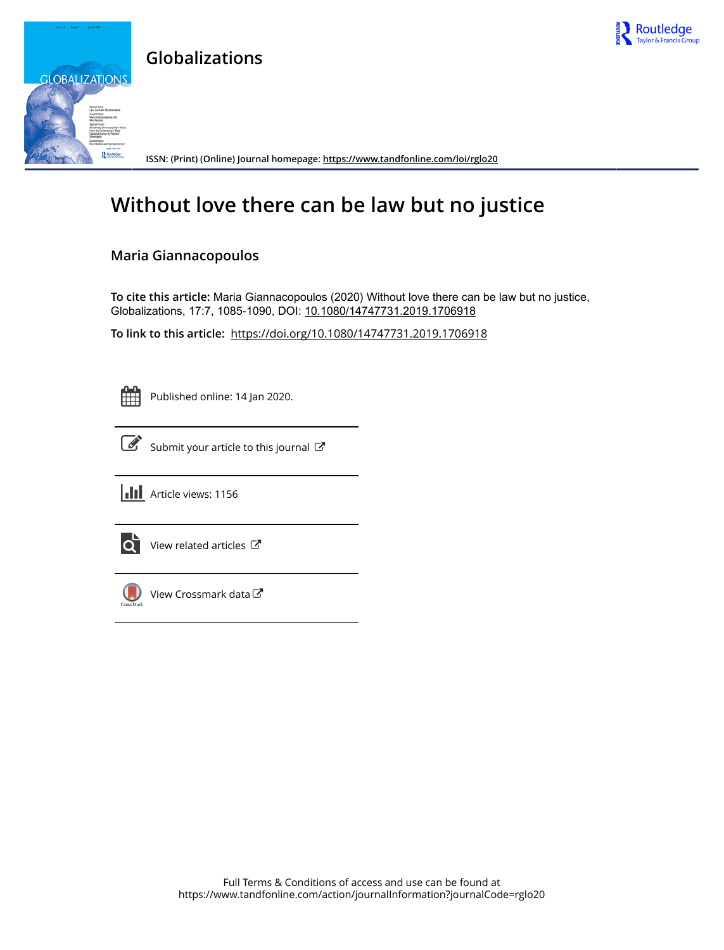

## **Globalizations**



**ISSN: (Print) (Online) Journal homepage:<https://www.tandfonline.com/loi/rglo20>**

# **Without love there can be law but no justice**

## **Maria Giannacopoulos**

**To cite this article:** Maria Giannacopoulos (2020) Without love there can be law but no justice, Globalizations, 17:7, 1085-1090, DOI: [10.1080/14747731.2019.1706918](https://www.tandfonline.com/action/showCitFormats?doi=10.1080/14747731.2019.1706918)

**To link to this article:** <https://doi.org/10.1080/14747731.2019.1706918>

Published online: 14 Jan 2020.



[Submit your article to this journal](https://www.tandfonline.com/action/authorSubmission?journalCode=rglo20&show=instructions)  $\mathbb{Z}$ 





 $\overrightarrow{Q}$  [View related articles](https://www.tandfonline.com/doi/mlt/10.1080/14747731.2019.1706918)  $\overrightarrow{C}$ 



[View Crossmark data](http://crossmark.crossref.org/dialog/?doi=10.1080/14747731.2019.1706918&domain=pdf&date_stamp=2020-01-14)  $\sigma$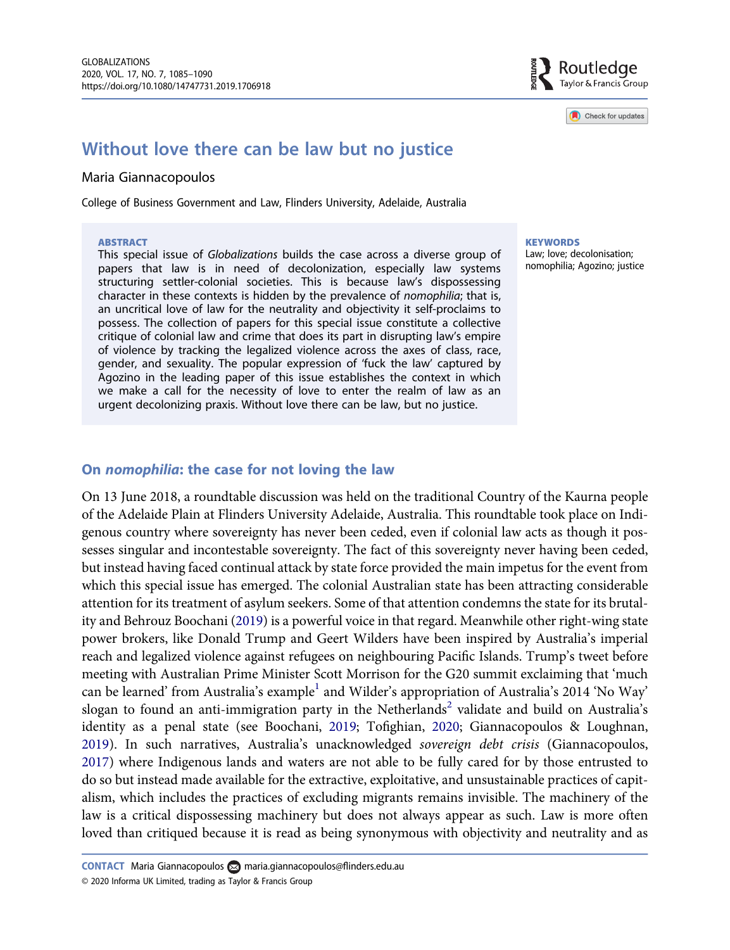Check for updates

## <span id="page-1-0"></span>Without love there can be law but no justice

#### Maria Giannacopoulos

College of Business Government and Law, Flinders University, Adelaide, Australia

#### **ABSTRACT**

This special issue of Globalizations builds the case across a diverse group of papers that law is in need of decolonization, especially law systems structuring settler-colonial societies. This is because law's dispossessing character in these contexts is hidden by the prevalence of nomophilia; that is, an uncritical love of law for the neutrality and objectivity it self-proclaims to possess. The collection of papers for this special issue constitute a collective critique of colonial law and crime that does its part in disrupting law's empire of violence by tracking the legalized violence across the axes of class, race, gender, and sexuality. The popular expression of 'fuck the law' captured by Agozino in the leading paper of this issue establishes the context in which we make a call for the necessity of love to enter the realm of law as an urgent decolonizing praxis. Without love there can be law, but no justice.

**KEYWORDS** 

Law; love; decolonisation; nomophilia; Agozino; justice

#### On nomophilia: the case for not loving the law

On 13 June 2018, a roundtable discussion was held on the traditional Country of the Kaurna people of the Adelaide Plain at Flinders University Adelaide, Australia. This roundtable took place on Indigenous country where sovereignty has never been ceded, even if colonial law acts as though it possesses singular and incontestable sovereignty. The fact of this sovereignty never having been ceded, but instead having faced continual attack by state force provided the main impetus for the event from which this special issue has emerged. The colonial Australian state has been attracting considerable attention for its treatment of asylum seekers. Some of that attention condemns the state for its brutality and Behrouz Boochani [\(2019](#page-5-0)) is a powerful voice in that regard. Meanwhile other right-wing state power brokers, like Donald Trump and Geert Wilders have been inspired by Australia's imperial reach and legalized violence against refugees on neighbouring Pacific Islands. Trump's tweet before meeting with Australian Prime Minister Scott Morrison for the G20 summit exclaiming that 'much can be learned' from Australia's example<sup>[1](#page-5-0)</sup> and Wilder's appropriation of Australia's 2014 'No Way' slogan to found an anti-immigration party in the Netherlands<sup>2</sup> validate and build on Australia's identity as a penal state (see Boochani, [2019;](#page-5-0) Tofighian, [2020](#page-6-0); Giannacopoulos & Loughnan, [2019](#page-6-0)). In such narratives, Australia's unacknowledged sovereign debt crisis (Giannacopoulos, [2017](#page-6-0)) where Indigenous lands and waters are not able to be fully cared for by those entrusted to do so but instead made available for the extractive, exploitative, and unsustainable practices of capitalism, which includes the practices of excluding migrants remains invisible. The machinery of the law is a critical dispossessing machinery but does not always appear as such. Law is more often loved than critiqued because it is read as being synonymous with objectivity and neutrality and as

© 2020 Informa UK Limited, trading as Taylor & Francis Group CONTACT Maria Giannacopoulos (
i[maria.giannacopoulos@](mailto:maria.giannacopoulos@flinders.edu.au)flinders.edu.au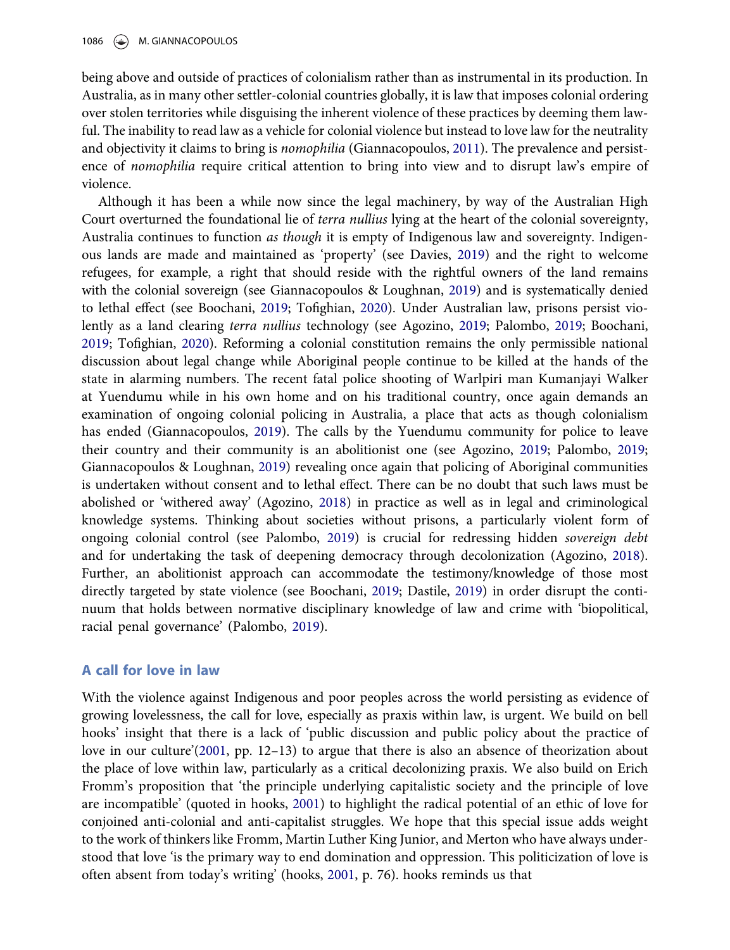<span id="page-2-0"></span>being above and outside of practices of colonialism rather than as instrumental in its production. In Australia, as in many other settler-colonial countries globally, it is law that imposes colonial ordering over stolen territories while disguising the inherent violence of these practices by deeming them lawful. The inability to read law as a vehicle for colonial violence but instead to love law for the neutrality and objectivity it claims to bring is nomophilia (Giannacopoulos, [2011](#page-6-0)). The prevalence and persistence of nomophilia require critical attention to bring into view and to disrupt law's empire of violence.

Although it has been a while now since the legal machinery, by way of the Australian High Court overturned the foundational lie of *terra nullius* lying at the heart of the colonial sovereignty, Australia continues to function *as though* it is empty of Indigenous law and sovereignty. Indigenous lands are made and maintained as 'property' (see Davies, [2019\)](#page-6-0) and the right to welcome refugees, for example, a right that should reside with the rightful owners of the land remains with the colonial sovereign (see Giannacopoulos & Loughnan, [2019\)](#page-6-0) and is systematically denied to lethal effect (see Boochani, [2019](#page-5-0); Tofighian, [2020\)](#page-6-0). Under Australian law, prisons persist violently as a land clearing terra nullius technology (see Agozino, [2019](#page-5-0); Palombo, [2019](#page-6-0); Boochani, [2019](#page-5-0); Tofighian, [2020\)](#page-6-0). Reforming a colonial constitution remains the only permissible national discussion about legal change while Aboriginal people continue to be killed at the hands of the state in alarming numbers. The recent fatal police shooting of Warlpiri man Kumanjayi Walker at Yuendumu while in his own home and on his traditional country, once again demands an examination of ongoing colonial policing in Australia, a place that acts as though colonialism has ended (Giannacopoulos, [2019\)](#page-6-0). The calls by the Yuendumu community for police to leave their country and their community is an abolitionist one (see Agozino, [2019;](#page-5-0) Palombo, [2019](#page-6-0); Giannacopoulos & Loughnan, [2019\)](#page-6-0) revealing once again that policing of Aboriginal communities is undertaken without consent and to lethal effect. There can be no doubt that such laws must be abolished or 'withered away' (Agozino, [2018](#page-5-0)) in practice as well as in legal and criminological knowledge systems. Thinking about societies without prisons, a particularly violent form of ongoing colonial control (see Palombo, [2019](#page-6-0)) is crucial for redressing hidden sovereign debt and for undertaking the task of deepening democracy through decolonization (Agozino, [2018\)](#page-5-0). Further, an abolitionist approach can accommodate the testimony/knowledge of those most directly targeted by state violence (see Boochani, [2019;](#page-5-0) Dastile, [2019](#page-6-0)) in order disrupt the continuum that holds between normative disciplinary knowledge of law and crime with 'biopolitical, racial penal governance' (Palombo, [2019\)](#page-6-0).

#### A call for love in law

With the violence against Indigenous and poor peoples across the world persisting as evidence of growing lovelessness, the call for love, especially as praxis within law, is urgent. We build on bell hooks' insight that there is a lack of 'public discussion and public policy about the practice of love in our culture'[\(2001](#page-6-0), pp. 12–13) to argue that there is also an absence of theorization about the place of love within law, particularly as a critical decolonizing praxis. We also build on Erich Fromm's proposition that 'the principle underlying capitalistic society and the principle of love are incompatible' (quoted in hooks, [2001\)](#page-6-0) to highlight the radical potential of an ethic of love for conjoined anti-colonial and anti-capitalist struggles. We hope that this special issue adds weight to the work of thinkers like Fromm, Martin Luther King Junior, and Merton who have always understood that love 'is the primary way to end domination and oppression. This politicization of love is often absent from today's writing' (hooks, [2001,](#page-6-0) p. 76). hooks reminds us that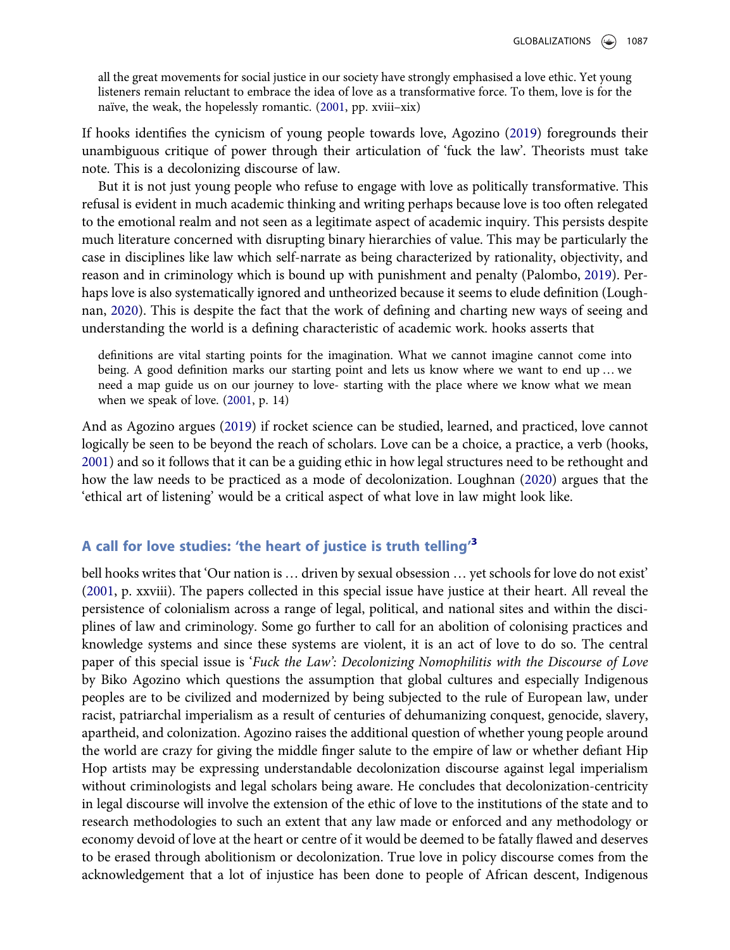<span id="page-3-0"></span>all the great movements for social justice in our society have strongly emphasised a love ethic. Yet young listeners remain reluctant to embrace the idea of love as a transformative force. To them, love is for the naïve, the weak, the hopelessly romantic. [\(2001](#page-6-0), pp. xviii–xix)

If hooks identifies the cynicism of young people towards love, Agozino [\(2019](#page-5-0)) foregrounds their unambiguous critique of power through their articulation of 'fuck the law'. Theorists must take note. This is a decolonizing discourse of law.

But it is not just young people who refuse to engage with love as politically transformative. This refusal is evident in much academic thinking and writing perhaps because love is too often relegated to the emotional realm and not seen as a legitimate aspect of academic inquiry. This persists despite much literature concerned with disrupting binary hierarchies of value. This may be particularly the case in disciplines like law which self-narrate as being characterized by rationality, objectivity, and reason and in criminology which is bound up with punishment and penalty (Palombo, [2019](#page-6-0)). Perhaps love is also systematically ignored and untheorized because it seems to elude definition (Loughnan, [2020\)](#page-6-0). This is despite the fact that the work of defining and charting new ways of seeing and understanding the world is a defining characteristic of academic work. hooks asserts that

definitions are vital starting points for the imagination. What we cannot imagine cannot come into being. A good definition marks our starting point and lets us know where we want to end up … we need a map guide us on our journey to love- starting with the place where we know what we mean when we speak of love. ([2001](#page-6-0), p. 14)

And as Agozino argues ([2019\)](#page-5-0) if rocket science can be studied, learned, and practiced, love cannot logically be seen to be beyond the reach of scholars. Love can be a choice, a practice, a verb (hooks, [2001](#page-6-0)) and so it follows that it can be a guiding ethic in how legal structures need to be rethought and how the law needs to be practiced as a mode of decolonization. Loughnan [\(2020](#page-6-0)) argues that the 'ethical art of listening' would be a critical aspect of what love in law might look like.

### A call for love studies: 'the heart of justice is truth telling'<sup>[3](#page-5-0)</sup>

bell hooks writes that 'Our nation is … driven by sexual obsession … yet schools for love do not exist' ([2001,](#page-6-0) p. xxviii). The papers collected in this special issue have justice at their heart. All reveal the persistence of colonialism across a range of legal, political, and national sites and within the disciplines of law and criminology. Some go further to call for an abolition of colonising practices and knowledge systems and since these systems are violent, it is an act of love to do so. The central paper of this special issue is 'Fuck the Law': Decolonizing Nomophilitis with the Discourse of Love by Biko Agozino which questions the assumption that global cultures and especially Indigenous peoples are to be civilized and modernized by being subjected to the rule of European law, under racist, patriarchal imperialism as a result of centuries of dehumanizing conquest, genocide, slavery, apartheid, and colonization. Agozino raises the additional question of whether young people around the world are crazy for giving the middle finger salute to the empire of law or whether defiant Hip Hop artists may be expressing understandable decolonization discourse against legal imperialism without criminologists and legal scholars being aware. He concludes that decolonization-centricity in legal discourse will involve the extension of the ethic of love to the institutions of the state and to research methodologies to such an extent that any law made or enforced and any methodology or economy devoid of love at the heart or centre of it would be deemed to be fatally flawed and deserves to be erased through abolitionism or decolonization. True love in policy discourse comes from the acknowledgement that a lot of injustice has been done to people of African descent, Indigenous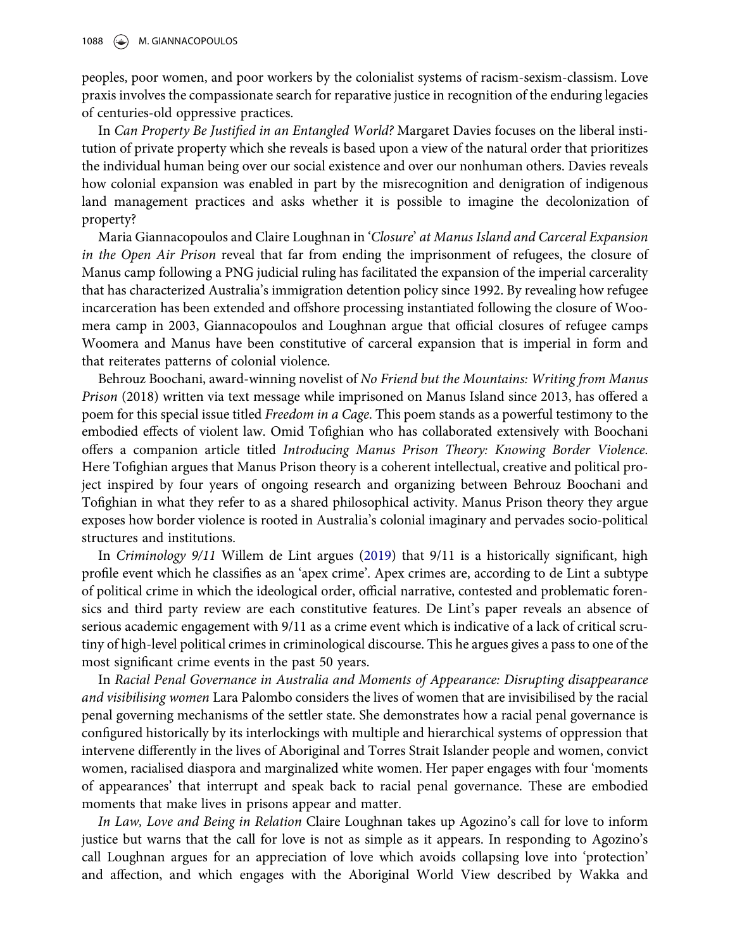<span id="page-4-0"></span>peoples, poor women, and poor workers by the colonialist systems of racism-sexism-classism. Love praxis involves the compassionate search for reparative justice in recognition of the enduring legacies of centuries-old oppressive practices.

In Can Property Be Justified in an Entangled World? Margaret Davies focuses on the liberal institution of private property which she reveals is based upon a view of the natural order that prioritizes the individual human being over our social existence and over our nonhuman others. Davies reveals how colonial expansion was enabled in part by the misrecognition and denigration of indigenous land management practices and asks whether it is possible to imagine the decolonization of property?

Maria Giannacopoulos and Claire Loughnan in 'Closure' at Manus Island and Carceral Expansion in the Open Air Prison reveal that far from ending the imprisonment of refugees, the closure of Manus camp following a PNG judicial ruling has facilitated the expansion of the imperial carcerality that has characterized Australia's immigration detention policy since 1992. By revealing how refugee incarceration has been extended and offshore processing instantiated following the closure of Woomera camp in 2003, Giannacopoulos and Loughnan argue that official closures of refugee camps Woomera and Manus have been constitutive of carceral expansion that is imperial in form and that reiterates patterns of colonial violence.

Behrouz Boochani, award-winning novelist of No Friend but the Mountains: Writing from Manus Prison (2018) written via text message while imprisoned on Manus Island since 2013, has offered a poem for this special issue titled *Freedom in a Cage*. This poem stands as a powerful testimony to the embodied effects of violent law. Omid Tofighian who has collaborated extensively with Boochani offers a companion article titled Introducing Manus Prison Theory: Knowing Border Violence. Here Tofighian argues that Manus Prison theory is a coherent intellectual, creative and political project inspired by four years of ongoing research and organizing between Behrouz Boochani and Tofighian in what they refer to as a shared philosophical activity. Manus Prison theory they argue exposes how border violence is rooted in Australia's colonial imaginary and pervades socio-political structures and institutions.

In Criminology 9/11 Willem de Lint argues [\(2019](#page-6-0)) that 9/11 is a historically significant, high profile event which he classifies as an 'apex crime'. Apex crimes are, according to de Lint a subtype of political crime in which the ideological order, official narrative, contested and problematic forensics and third party review are each constitutive features. De Lint's paper reveals an absence of serious academic engagement with 9/11 as a crime event which is indicative of a lack of critical scrutiny of high-level political crimes in criminological discourse. This he argues gives a pass to one of the most significant crime events in the past 50 years.

In Racial Penal Governance in Australia and Moments of Appearance: Disrupting disappearance and visibilising women Lara Palombo considers the lives of women that are invisibilised by the racial penal governing mechanisms of the settler state. She demonstrates how a racial penal governance is configured historically by its interlockings with multiple and hierarchical systems of oppression that intervene differently in the lives of Aboriginal and Torres Strait Islander people and women, convict women, racialised diaspora and marginalized white women. Her paper engages with four 'moments of appearances' that interrupt and speak back to racial penal governance. These are embodied moments that make lives in prisons appear and matter.

In Law, Love and Being in Relation Claire Loughnan takes up Agozino's call for love to inform justice but warns that the call for love is not as simple as it appears. In responding to Agozino's call Loughnan argues for an appreciation of love which avoids collapsing love into 'protection' and affection, and which engages with the Aboriginal World View described by Wakka and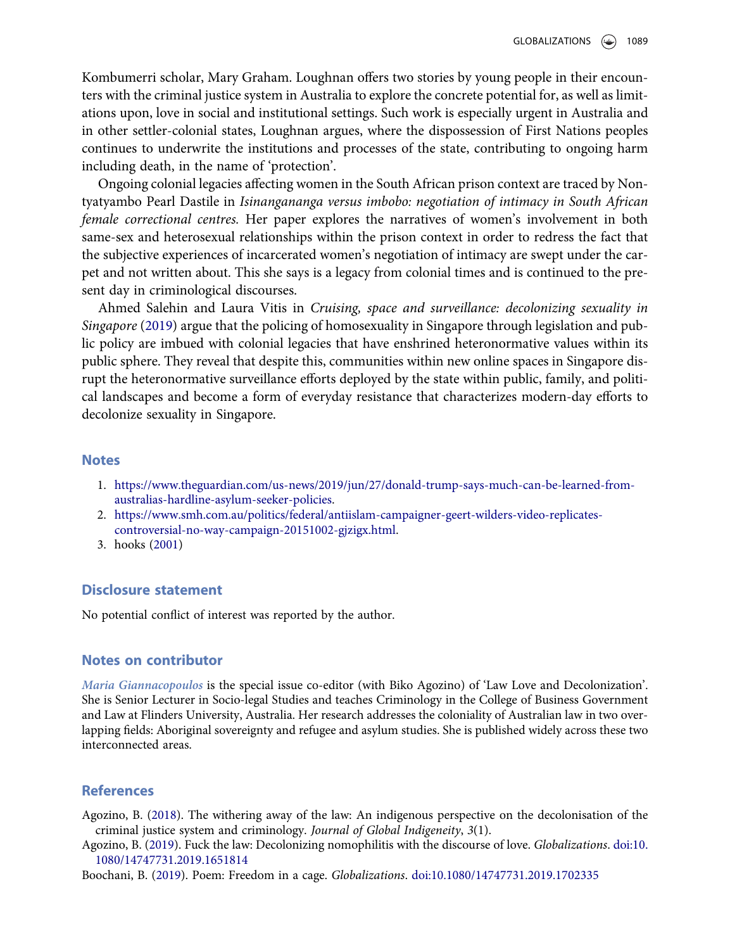<span id="page-5-0"></span>Kombumerri scholar, Mary Graham. Loughnan offers two stories by young people in their encounters with the criminal justice system in Australia to explore the concrete potential for, as well as limitations upon, love in social and institutional settings. Such work is especially urgent in Australia and in other settler-colonial states, Loughnan argues, where the dispossession of First Nations peoples continues to underwrite the institutions and processes of the state, contributing to ongoing harm including death, in the name of 'protection'.

Ongoing colonial legacies affecting women in the South African prison context are traced by Nontyatyambo Pearl Dastile in Isinangananga versus imbobo: negotiation of intimacy in South African female correctional centres. Her paper explores the narratives of women's involvement in both same-sex and heterosexual relationships within the prison context in order to redress the fact that the subjective experiences of incarcerated women's negotiation of intimacy are swept under the carpet and not written about. This she says is a legacy from colonial times and is continued to the present day in criminological discourses.

Ahmed Salehin and Laura Vitis in Cruising, space and surveillance: decolonizing sexuality in Singapore ([2019\)](#page-6-0) argue that the policing of homosexuality in Singapore through legislation and public policy are imbued with colonial legacies that have enshrined heteronormative values within its public sphere. They reveal that despite this, communities within new online spaces in Singapore disrupt the heteronormative surveillance efforts deployed by the state within public, family, and political landscapes and become a form of everyday resistance that characterizes modern-day efforts to decolonize sexuality in Singapore.

#### **Notes**

- 1. [https://www.theguardian.com/us-news/2019/jun/27/donald-trump-says-much-can-be-learned-from](https://www.theguardian.com/us-news/2019/jun/27/donald-trump-says-much-can-be-learned-from-australias-hardline-asylum-seeker-policies)[australias-hardline-asylum-seeker-policies.](https://www.theguardian.com/us-news/2019/jun/27/donald-trump-says-much-can-be-learned-from-australias-hardline-asylum-seeker-policies)
- 2. [https://www.smh.com.au/politics/federal/antiislam-campaigner-geert-wilders-video-replicates](https://www.smh.com.au/politics/federal/antiislam-campaigner-geert-wilders-video-replicates-controversial-no-way-campaign-20151002-gjzigx.html)[controversial-no-way-campaign-20151002-gjzigx.html.](https://www.smh.com.au/politics/federal/antiislam-campaigner-geert-wilders-video-replicates-controversial-no-way-campaign-20151002-gjzigx.html)
- 3. hooks ([2001](#page-6-0))

#### Disclosure statement

No potential conflict of interest was reported by the author.

#### Notes on contributor

Maria Giannacopoulos is the special issue co-editor (with Biko Agozino) of 'Law Love and Decolonization'. She is Senior Lecturer in Socio-legal Studies and teaches Criminology in the College of Business Government and Law at Flinders University, Australia. Her research addresses the coloniality of Australian law in two overlapping fields: Aboriginal sovereignty and refugee and asylum studies. She is published widely across these two interconnected areas.

#### References

Agozino, B. [\(2018](#page-2-0)). The withering away of the law: An indigenous perspective on the decolonisation of the criminal justice system and criminology. Journal of Global Indigeneity, 3(1).

Agozino, B. ([2019\)](#page-2-0). Fuck the law: Decolonizing nomophilitis with the discourse of love. Globalizations. [doi:10.](https://doi.org/10.1080/14747731.2019.1651814) [1080/14747731.2019.1651814](https://doi.org/10.1080/14747731.2019.1651814)

Boochani, B. ([2019\)](#page-1-0). Poem: Freedom in a cage. Globalizations. [doi:10.1080/14747731.2019.1702335](https://doi.org/10.1080/14747731.2019.1702335)